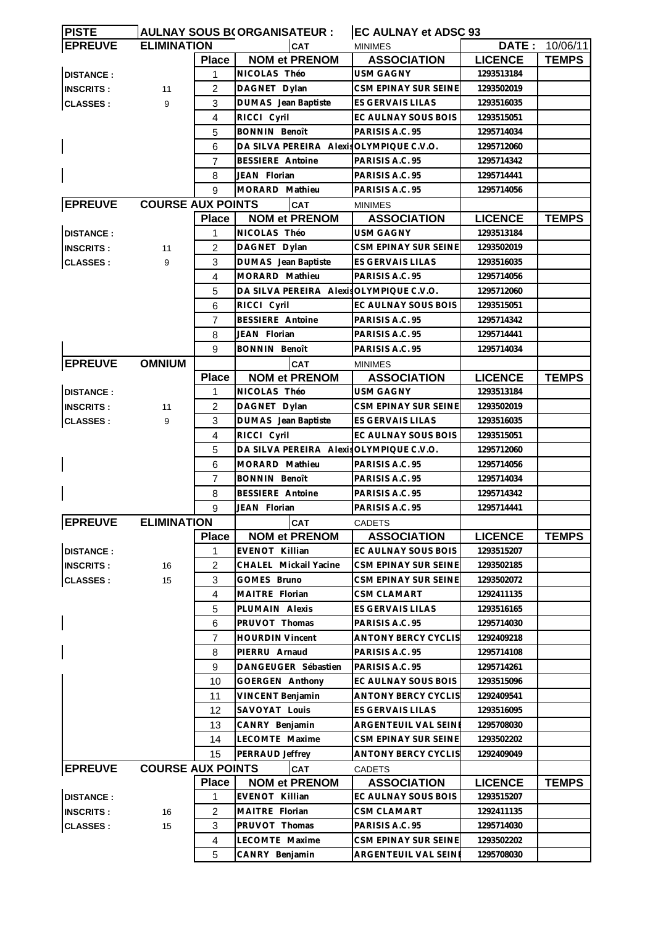| <b>PISTE</b>     | AULNAY SOUS B(ORGANISATEUR : |                |                                          | <b>EC AULNAY et ADSC 93</b>          |                |                       |
|------------------|------------------------------|----------------|------------------------------------------|--------------------------------------|----------------|-----------------------|
| <b>EPREUVE</b>   | <b>ELIMINATION</b>           |                | CAT                                      | <b>MINIMES</b>                       |                | <b>DATE: 10/06/11</b> |
|                  |                              | <b>Place</b>   | <b>NOM et PRENOM</b>                     | <b>ASSOCIATION</b>                   | <b>LICENCE</b> | <b>TEMPS</b>          |
| <b>DISTANCE:</b> |                              | 1              | NICOLAS Théo                             | <b>USM GAGNY</b>                     | 1293513184     |                       |
| <b>INSCRITS:</b> | 11                           | 2              | DAGNET Dylan                             | CSM EPINAY SUR SEINE                 | 1293502019     |                       |
| <b>CLASSES:</b>  | 9                            | 3              | DUMAS Jean Baptiste                      | ES GERVAIS LILAS                     | 1293516035     |                       |
|                  |                              | $\overline{4}$ | RICCI Cyril                              | EC AULNAY SOUS BOIS                  | 1293515051     |                       |
|                  |                              | 5              | <b>BONNIN Benoît</b>                     | PARISIS A.C. 95                      | 1295714034     |                       |
|                  |                              | 6              | DA SILVA PEREIRA AlexisOLYMPIQUE C.V.O.  |                                      | 1295712060     |                       |
|                  |                              | 7              | <b>BESSIERE</b> Antoine                  | PARISIS A.C. 95                      | 1295714342     |                       |
|                  |                              | 8              | JEAN Florian                             | PARISIS A.C. 95                      | 1295714441     |                       |
|                  |                              | 9              | MORARD Mathieu                           | PARISIS A.C. 95                      | 1295714056     |                       |
| <b>EPREUVE</b>   | <b>COURSE AUX POINTS</b>     |                | <b>CAT</b>                               |                                      |                |                       |
|                  |                              | <b>Place</b>   | <b>NOM et PRENOM</b>                     | <b>MINIMES</b><br><b>ASSOCIATION</b> | <b>LICENCE</b> | <b>TEMPS</b>          |
|                  |                              |                |                                          | <b>USM GAGNY</b>                     |                |                       |
| <b>DISTANCE:</b> |                              | 1              | NICOLAS Théo                             |                                      | 1293513184     |                       |
| <b>INSCRITS:</b> | 11                           | $\overline{2}$ | DAGNET Dylan                             | CSM EPINAY SUR SEINE                 | 1293502019     |                       |
| <b>CLASSES:</b>  | 9                            | 3              | <b>DUMAS</b> Jean Baptiste               | ES GERVAIS LILAS                     | 1293516035     |                       |
|                  |                              | 4              | MORARD Mathieu                           | PARISIS A.C. 95                      | 1295714056     |                       |
|                  |                              | 5              | DA SILVA PEREIRA Alexis OLYMPIQUE C.V.O. |                                      | 1295712060     |                       |
|                  |                              | 6              | RICCI Cyril                              | EC AULNAY SOUS BOIS                  | 1293515051     |                       |
|                  |                              | 7              | BESSIERE Antoine                         | PARISIS A.C. 95                      | 1295714342     |                       |
|                  |                              | 8              | JEAN Florian                             | PARISIS A.C. 95                      | 1295714441     |                       |
|                  |                              | 9              | <b>BONNIN Benoît</b>                     | PARISIS A.C. 95                      | 1295714034     |                       |
| <b>EPREUVE</b>   | <b>OMNIUM</b>                |                | <b>CAT</b>                               | <b>MINIMES</b>                       |                |                       |
|                  |                              | <b>Place</b>   | <b>NOM et PRENOM</b>                     | <b>ASSOCIATION</b>                   | <b>LICENCE</b> | <b>TEMPS</b>          |
| <b>DISTANCE:</b> |                              | 1              | NICOLAS Théo                             | USM GAGNY                            | 1293513184     |                       |
| <b>INSCRITS:</b> | 11                           | $\overline{2}$ | DAGNET Dylan                             | CSM EPINAY SUR SEINE                 | 1293502019     |                       |
| <b>CLASSES:</b>  | 9                            | 3              | <b>DUMAS</b> Jean Baptiste               | ES GERVAIS LILAS                     | 1293516035     |                       |
|                  |                              | 4              | RICCI Cyril                              | EC AULNAY SOUS BOIS                  | 1293515051     |                       |
|                  |                              | 5              | DA SILVA PEREIRA Alexis OLYMPIQUE C.V.O. |                                      | 1295712060     |                       |
|                  |                              | 6              | MORARD Mathieu                           | PARISIS A.C. 95                      | 1295714056     |                       |
|                  |                              | 7              | <b>BONNIN Benoît</b>                     | PARISIS A.C. 95                      | 1295714034     |                       |
|                  |                              | 8              | <b>BESSIERE</b> Antoine                  | PARISIS A.C. 95                      | 1295714342     |                       |
|                  |                              | 9              | JEAN Florian                             | PARISIS A.C. 95                      | 1295714441     |                       |
| <b>EPREUVE</b>   | <b>ELIMINATION</b>           |                | CAT                                      | CADETS                               |                |                       |
|                  |                              | <b>Place</b>   | <b>NOM et PRENOM</b>                     | <b>ASSOCIATION</b>                   | <b>LICENCE</b> | <b>TEMPS</b>          |
| <b>DISTANCE:</b> |                              | 1              | EVENOT Killian                           | EC AULNAY SOUS BOIS                  | 1293515207     |                       |
|                  |                              | $\overline{2}$ | CHALEL Mickail Yacine                    | CSM EPINAY SUR SEINE                 | 1293502185     |                       |
| <b>INSCRITS:</b> | 16                           |                |                                          |                                      |                |                       |
| <b>CLASSES:</b>  | 15                           | 3              | GOMES Bruno                              | CSM EPINAY SUR SEINE                 | 1293502072     |                       |
|                  |                              | $\overline{4}$ | MAITRE Florian                           | <b>CSM CLAMART</b>                   | 1292411135     |                       |
|                  |                              | 5              | PLUMAIN Alexis                           | ES GERVAIS LILAS                     | 1293516165     |                       |
|                  |                              | 6              | PRUVOT Thomas                            | PARISIS A.C. 95                      | 1295714030     |                       |
|                  |                              | $\overline{7}$ | <b>HOURDIN Vincent</b>                   | ANTONY BERCY CYCLIS                  | 1292409218     |                       |
|                  |                              | 8              | PIERRU Arnaud                            | PARISIS A.C. 95                      | 1295714108     |                       |
|                  |                              | 9              | DANGEUGER Sébastien                      | PARISIS A.C. 95                      | 1295714261     |                       |
|                  |                              | 10             | GOERGEN Anthony                          | EC AULNAY SOUS BOIS                  | 1293515096     |                       |
|                  |                              | 11             | VINCENT Benjamin                         | <b>ANTONY BERCY CYCLIS</b>           | 1292409541     |                       |
|                  |                              | 12             | SAVOYAT Louis                            | ES GERVAIS LILAS                     | 1293516095     |                       |
|                  |                              | 13             | CANRY Benjamin                           | ARGENTEUIL VAL SEINE                 | 1295708030     |                       |
|                  |                              | 14             | LECOMTE Maxime                           | CSM EPINAY SUR SEINE                 | 1293502202     |                       |
|                  |                              | 15             | PERRAUD Jeffrey                          | <b>ANTONY BERCY CYCLIS</b>           | 1292409049     |                       |
| <b>EPREUVE</b>   | <b>COURSE AUX POINTS</b>     |                | <b>CAT</b>                               | <b>CADETS</b>                        |                |                       |
|                  |                              | <b>Place</b>   | <b>NOM et PRENOM</b>                     | <b>ASSOCIATION</b>                   | <b>LICENCE</b> | <b>TEMPS</b>          |
| <b>DISTANCE:</b> |                              | 1              | EVENOT Killian                           | EC AULNAY SOUS BOIS                  | 1293515207     |                       |
| <b>INSCRITS:</b> | 16                           | $\overline{2}$ | MAITRE Florian                           | <b>CSM CLAMART</b>                   | 1292411135     |                       |
| <b>CLASSES:</b>  | 15                           | 3              | PRUVOT Thomas                            | PARISIS A.C. 95                      | 1295714030     |                       |
|                  |                              | 4              | LECOMTE Maxime                           | CSM EPINAY SUR SEINE                 | 1293502202     |                       |
|                  |                              | 5              | CANRY Benjamin                           | ARGENTEUIL VAL SEINE                 | 1295708030     |                       |
|                  |                              |                |                                          |                                      |                |                       |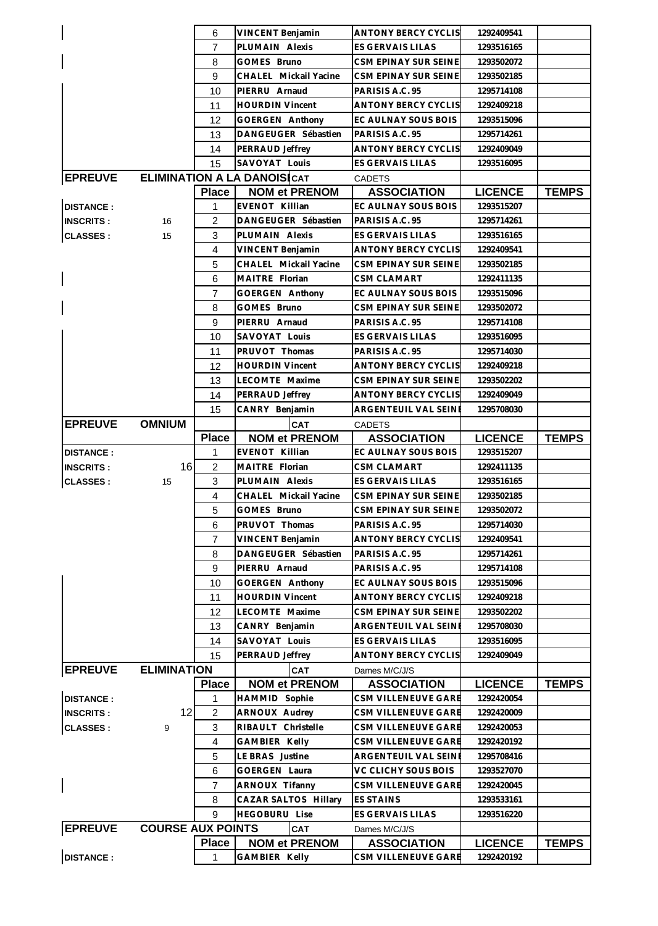|                  |                          | 6                 | VINCENT Benjamin                      | ANTONY BERCY CYCLIS                       | 1292409541                   |              |
|------------------|--------------------------|-------------------|---------------------------------------|-------------------------------------------|------------------------------|--------------|
|                  |                          | $\overline{7}$    | PLUMAIN Alexis                        | ES GERVAIS LILAS                          | 1293516165                   |              |
|                  |                          | 8                 | GOMES Bruno                           | CSM EPINAY SUR SEINE                      | 1293502072                   |              |
|                  |                          | 9                 | CHALEL Mickail Yacine                 | CSM EPINAY SUR SEINE                      | 1293502185                   |              |
|                  |                          | 10                | PIERRU Arnaud                         | PARISIS A.C. 95                           | 1295714108                   |              |
|                  |                          | 11                | <b>HOURDIN Vincent</b>                | <b>ANTONY BERCY CYCLIS</b>                | 1292409218                   |              |
|                  |                          | 12                | GOERGEN Anthony                       | EC AULNAY SOUS BOIS                       | 1293515096                   |              |
|                  |                          | 13                | DANGEUGER Sébastien                   | PARISIS A.C. 95                           | 1295714261                   |              |
|                  |                          | 14                | PERRAUD Jeffrey                       | <b>ANTONY BERCY CYCLIS</b>                | 1292409049                   |              |
|                  |                          | 15                | SAVOYAT Louis                         | ES GERVAIS LILAS                          | 1293516095                   |              |
| <b>EPREUVE</b>   |                          |                   | <b>ELIMINATION A LA DANOISICAT</b>    | <b>CADETS</b>                             |                              |              |
|                  |                          | <b>Place</b>      | <b>NOM et PRENOM</b>                  | <b>ASSOCIATION</b>                        | <b>LICENCE</b>               | <b>TEMPS</b> |
| <b>DISTANCE:</b> |                          | 1                 | EVENOT Killian                        | EC AULNAY SOUS BOIS                       | 1293515207                   |              |
| <b>INSCRITS:</b> | 16                       | $\overline{2}$    | DANGEUGER Sébastien                   | PARISIS A.C. 95                           | 1295714261                   |              |
| <b>CLASSES:</b>  | 15                       | 3                 | PLUMAIN Alexis                        | ES GERVAIS LILAS                          | 1293516165                   |              |
|                  |                          | 4                 | VINCENT Benjamin                      | <b>ANTONY BERCY CYCLIS</b>                | 1292409541                   |              |
|                  |                          | 5                 | CHALEL Mickail Yacine                 | CSM EPINAY SUR SEINE                      | 1293502185                   |              |
|                  |                          | 6                 | MAITRE Florian                        | <b>CSM CLAMART</b>                        | 1292411135                   |              |
|                  |                          | $\overline{7}$    | GOERGEN Anthony                       | EC AULNAY SOUS BOIS                       | 1293515096                   |              |
|                  |                          | 8                 | GOMES Bruno                           | CSM EPINAY SUR SEINE                      | 1293502072                   |              |
|                  |                          | 9                 | PIERRU Arnaud                         | PARISIS A.C. 95                           | 1295714108                   |              |
|                  |                          | 10                | SAVOYAT Louis                         | ES GERVAIS LILAS                          | 1293516095                   |              |
|                  |                          | 11                | PRUVOT Thomas                         | PARISIS A.C. 95                           | 1295714030                   |              |
|                  |                          | 12                | <b>HOURDIN Vincent</b>                | <b>ANTONY BERCY CYCLIS</b>                | 1292409218                   |              |
|                  |                          | 13                | LECOMTE Maxime                        | CSM EPINAY SUR SEINE                      | 1293502202                   |              |
|                  |                          | 14                | PERRAUD Jeffrey                       | <b>ANTONY BERCY CYCLIS</b>                | 1292409049                   |              |
|                  |                          | 15                | CANRY Benjamin                        | ARGENTEUIL VAL SEINE                      | 1295708030                   |              |
| <b>EPREUVE</b>   | <b>OMNIUM</b>            |                   | <b>CAT</b>                            | <b>CADETS</b>                             |                              |              |
|                  |                          | <b>Place</b>      | <b>NOM et PRENOM</b>                  | <b>ASSOCIATION</b>                        | <b>LICENCE</b>               | <b>TEMPS</b> |
| <b>DISTANCE:</b> |                          | 1                 | EVENOT Killian                        | EC AULNAY SOUS BOIS                       | 1293515207                   |              |
| <b>INSCRITS:</b> | 16                       | $\overline{c}$    | MAITRE Florian                        | CSM CLAMART                               | 1292411135                   |              |
| <b>CLASSES:</b>  | 15                       | 3                 | PLUMAIN Alexis                        | ES GERVAIS LILAS                          | 1293516165                   |              |
|                  |                          | 4                 | CHALEL Mickail Yacine                 | CSM EPINAY SUR SEINE                      | 1293502185                   |              |
|                  |                          | 5                 | GOMES Bruno                           | CSM EPINAY SUR SEINE                      | 1293502072                   |              |
|                  |                          | 6                 | PRUVOT Thomas                         | PARISIS A.C. 95                           | 1295714030                   |              |
|                  |                          | $\overline{7}$    | VINCENT Benjamin                      | <b>ANTONY BERCY CYCLIS</b>                | 1292409541                   |              |
|                  |                          | 8                 | DANGEUGER Sébastien                   | PARISIS A.C. 95                           | 1295714261                   |              |
|                  |                          | 9                 | PIERRU Arnaud                         | PARISIS A.C. 95                           | 1295714108                   |              |
|                  |                          | 10                | GOERGEN Anthony                       | EC AULNAY SOUS BOIS                       | 1293515096                   |              |
|                  |                          | 11                | <b>HOURDIN Vincent</b>                | <b>ANTONY BERCY CYCLIS</b>                | 1292409218                   |              |
|                  |                          |                   |                                       |                                           |                              |              |
|                  |                          |                   | LECOMTE Maxime                        | CSM EPINAY SUR SEINE                      | 1293502202                   |              |
|                  |                          | 12                | CANRY Benjamin                        | ARGENTEUIL VAL SEINE                      | 1295708030                   |              |
|                  |                          | 13                |                                       | <b>ES GERVAIS LILAS</b>                   |                              |              |
|                  |                          | 14<br>15          | SAVOYAT Louis                         | <b>ANTONY BERCY CYCLIS</b>                | 1293516095<br>1292409049     |              |
|                  |                          |                   | PERRAUD Jeffrey                       |                                           |                              |              |
| <b>EPREUVE</b>   | <b>ELIMINATION</b>       |                   | <b>CAT</b>                            | Dames M/C/J/S                             |                              |              |
| <b>DISTANCE:</b> |                          | <b>Place</b><br>1 | <b>NOM et PRENOM</b><br>HAMMID Sophie | <b>ASSOCIATION</b><br>CSM VILLENEUVE GARE | <b>LICENCE</b><br>1292420054 | <b>TEMPS</b> |
| <b>INSCRITS:</b> | 12                       | $\overline{2}$    | ARNOUX Audrey                         | CSM VILLENEUVE GARE                       | 1292420009                   |              |
|                  | 9                        | 3                 | RIBAULT Christelle                    | CSM VILLENEUVE GARE                       | 1292420053                   |              |
| <b>CLASSES:</b>  |                          | $\overline{4}$    | GAMBIER Kelly                         | CSM VILLENEUVE GARE                       | 1292420192                   |              |
|                  |                          | 5                 | LE BRAS Justine                       | ARGENTEUIL VAL SEINE                      | 1295708416                   |              |
|                  |                          | 6                 | GOERGEN Laura                         | VC CLICHY SOUS BOIS                       | 1293527070                   |              |
|                  |                          | 7                 | ARNOUX Tifanny                        | CSM VILLENEUVE GARE                       | 1292420045                   |              |
|                  |                          | 8                 | CAZAR SALTOS Hillary                  | <b>ES STAINS</b>                          | 1293533161                   |              |
|                  |                          | 9                 | <b>HEGOBURU Lise</b>                  | ES GERVAIS LILAS                          | 1293516220                   |              |
|                  |                          |                   |                                       |                                           |                              |              |
| <b>EPREUVE</b>   | <b>COURSE AUX POINTS</b> | <b>Place</b>      | <b>CAT</b><br><b>NOM et PRENOM</b>    | Dames M/C/J/S                             | <b>LICENCE</b>               | <b>TEMPS</b> |
| <b>DISTANCE:</b> |                          | 1                 | GAMBIER Kelly                         | <b>ASSOCIATION</b><br>CSM VILLENEUVE GARE | 1292420192                   |              |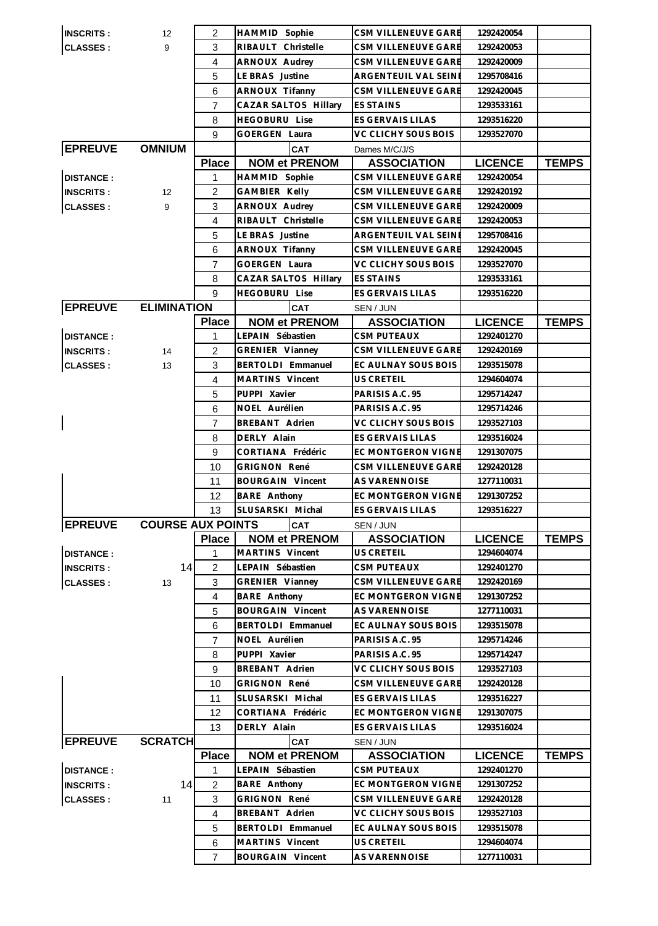| <b>IINSCRITS:</b> | $12 \overline{ }$        | 2              | HAMMID Sophie           | CSM VILLENEUVE GARE     | 1292420054     |              |
|-------------------|--------------------------|----------------|-------------------------|-------------------------|----------------|--------------|
| <b>CLASSES:</b>   | 9                        | 3              | RIBAULT Christelle      | CSM VILLENEUVE GARE     | 1292420053     |              |
|                   |                          | 4              | ARNOUX Audrey           | CSM VILLENEUVE GARE     | 1292420009     |              |
|                   |                          | 5              | LE BRAS Justine         | ARGENTEUIL VAL SEINE    | 1295708416     |              |
|                   |                          | 6              | ARNOUX Tifanny          | CSM VILLENEUVE GARE     | 1292420045     |              |
|                   |                          | $\overline{7}$ | CAZAR SALTOS Hillary    | <b>ES STAINS</b>        | 1293533161     |              |
|                   |                          | 8              | <b>HEGOBURU Lise</b>    | ES GERVAIS LILAS        | 1293516220     |              |
|                   |                          | 9              | <b>GOERGEN Laura</b>    | VC CLICHY SOUS BOIS     | 1293527070     |              |
| <b>EPREUVE</b>    | <b>OMNIUM</b>            |                | CAT                     | Dames M/C/J/S           |                |              |
|                   |                          | <b>Place</b>   | <b>NOM et PRENOM</b>    | <b>ASSOCIATION</b>      | <b>LICENCE</b> | <b>TEMPS</b> |
| <b>DISTANCE:</b>  |                          | 1              | HAMMID Sophie           | CSM VILLENEUVE GARE     | 1292420054     |              |
| <b>INSCRITS:</b>  | 12                       | $\overline{2}$ | GAMBIER Kelly           | CSM VILLENEUVE GARE     | 1292420192     |              |
|                   | 9                        | 3              | ARNOUX Audrey           | CSM VILLENEUVE GARE     | 1292420009     |              |
| <b>CLASSES:</b>   |                          | $\overline{4}$ | RIBAULT Christelle      |                         |                |              |
|                   |                          |                |                         | CSM VILLENEUVE GARE     | 1292420053     |              |
|                   |                          | 5              | LE BRAS Justine         | ARGENTEUIL VAL SEINI    | 1295708416     |              |
|                   |                          | 6              | ARNOUX Tifanny          | CSM VILLENEUVE GARE     | 1292420045     |              |
|                   |                          | $\overline{7}$ | <b>GOERGEN Laura</b>    | VC CLICHY SOUS BOIS     | 1293527070     |              |
|                   |                          | 8              | CAZAR SALTOS Hillary    | <b>ES STAINS</b>        | 1293533161     |              |
|                   |                          | 9              | <b>HEGOBURU Lise</b>    | ES GERVAIS LILAS        | 1293516220     |              |
| <b>EPREUVE</b>    | <b>ELIMINATION</b>       |                | <b>CAT</b>              | SEN / JUN               |                |              |
|                   |                          | <b>Place</b>   | <b>NOM et PRENOM</b>    | <b>ASSOCIATION</b>      | <b>LICENCE</b> | <b>TEMPS</b> |
| <b>DISTANCE:</b>  |                          | $\mathbf{1}$   | LEPAIN Sébastien        | <b>CSM PUTEAUX</b>      | 1292401270     |              |
| <b>INSCRITS:</b>  | 14                       | $\overline{2}$ | GRENIER Vianney         | CSM VILLENEUVE GARE     | 1292420169     |              |
| <b>CLASSES:</b>   | 13                       | 3              | BERTOLDI Emmanuel       | EC AULNAY SOUS BOIS     | 1293515078     |              |
|                   |                          | 4              | MARTINS Vincent         | US CRETEIL              | 1294604074     |              |
|                   |                          | 5              | PUPPI Xavier            | PARISIS A.C. 95         | 1295714247     |              |
|                   |                          | 6              | NOEL Aurélien           | PARISIS A.C. 95         | 1295714246     |              |
|                   |                          | 7              | BREBANT Adrien          | VC CLICHY SOUS BOIS     | 1293527103     |              |
|                   |                          | 8              | DERLY Alain             | <b>ES GERVAIS LILAS</b> | 1293516024     |              |
|                   |                          | 9              | CORTIANA Frédéric       | EC MONTGERON VIGNE      | 1291307075     |              |
|                   |                          | 10             | <b>GRIGNON René</b>     | CSM VILLENEUVE GARE     | 1292420128     |              |
|                   |                          | 11             | <b>BOURGAIN Vincent</b> | <b>AS VARENNOISE</b>    | 1277110031     |              |
|                   |                          | 12             | <b>BARE Anthony</b>     | EC MONTGERON VIGNE      | 1291307252     |              |
|                   |                          | 13             | SLUSARSKI Michal        | <b>ES GERVAIS LILAS</b> | 1293516227     |              |
| <b>EPREUVE</b>    | <b>COURSE AUX POINTS</b> |                | <b>cat</b>              | SEN / JUN               |                |              |
|                   |                          | <b>Place</b>   | <b>NOM et PRENOM</b>    | <b>ASSOCIATION</b>      | <b>LICENCE</b> | <b>TEMPS</b> |
| <b>DISTANCE:</b>  |                          | 1              | MARTINS Vincent         | US CRETEIL              | 1294604074     |              |
| <b>INSCRITS:</b>  | 14                       | $\overline{c}$ | LEPAIN Sébastien        | <b>CSM PUTEAUX</b>      | 1292401270     |              |
| <b>CLASSES:</b>   | 13                       | 3              | <b>GRENIER Vianney</b>  | CSM VILLENEUVE GARE     | 1292420169     |              |
|                   |                          | $\overline{4}$ | <b>BARE</b> Anthony     | EC MONTGERON VIGNE      | 1291307252     |              |
|                   |                          | 5              | <b>BOURGAIN Vincent</b> | <b>AS VARENNOISE</b>    | 1277110031     |              |
|                   |                          | 6              | BERTOLDI Emmanuel       | EC AULNAY SOUS BOIS     | 1293515078     |              |
|                   |                          | $\overline{7}$ | NOEL Aurélien           | PARISIS A.C. 95         | 1295714246     |              |
|                   |                          | 8              | PUPPI Xavier            | PARISIS A.C. 95         | 1295714247     |              |
|                   |                          | 9              | BREBANT Adrien          | VC CLICHY SOUS BOIS     | 1293527103     |              |
|                   |                          | 10             | GRIGNON René            | CSM VILLENEUVE GARE     | 1292420128     |              |
|                   |                          | 11             | SLUSARSKI Michal        | ES GERVAIS LILAS        | 1293516227     |              |
|                   |                          | 12             | CORTIANA Frédéric       | EC MONTGERON VIGNE      | 1291307075     |              |
|                   |                          | 13             | DERLY Alain             | ES GERVAIS LILAS        | 1293516024     |              |
| <b>EPREUVE</b>    | <b>SCRATCH</b>           |                | <b>CAT</b>              | SEN / JUN               |                |              |
|                   |                          | <b>Place</b>   | <b>NOM et PRENOM</b>    | <b>ASSOCIATION</b>      | <b>LICENCE</b> | <b>TEMPS</b> |
| <b>DISTANCE:</b>  |                          | 1              | LEPAIN Sébastien        | <b>CSM PUTEAUX</b>      | 1292401270     |              |
| <b>INSCRITS:</b>  | 14                       | $\overline{c}$ | <b>BARE</b> Anthony     | EC MONTGERON VIGNE      | 1291307252     |              |
| <b>CLASSES:</b>   | 11                       | 3              | GRIGNON René            | CSM VILLENEUVE GARE     | 1292420128     |              |
|                   |                          | 4              | BREBANT Adrien          | VC CLICHY SOUS BOIS     | 1293527103     |              |
|                   |                          | 5              | BERTOLDI Emmanuel       | EC AULNAY SOUS BOIS     | 1293515078     |              |
|                   |                          | 6              | MARTINS Vincent         | US CRETEIL              | 1294604074     |              |
|                   |                          | $\overline{7}$ | <b>BOURGAIN Vincent</b> | AS VARENNOISE           | 1277110031     |              |
|                   |                          |                |                         |                         |                |              |